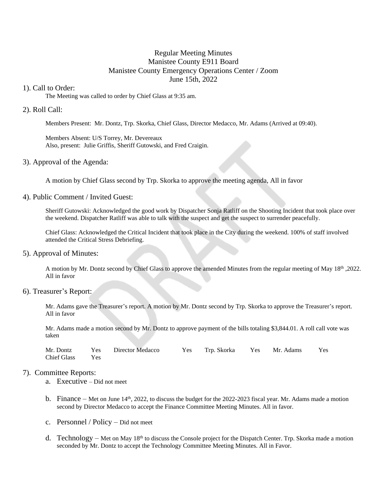# Regular Meeting Minutes Manistee County E911 Board Manistee County Emergency Operations Center / Zoom June 15th, 2022

#### 1). Call to Order:

The Meeting was called to order by Chief Glass at 9:35 am.

### 2). Roll Call:

Members Present: Mr. Dontz, Trp. Skorka, Chief Glass, Director Medacco, Mr. Adams (Arrived at 09:40).

Members Absent: U/S Torrey, Mr. Devereaux Also, present: Julie Griffis, Sheriff Gutowski, and Fred Craigin.

#### 3). Approval of the Agenda:

A motion by Chief Glass second by Trp. Skorka to approve the meeting agenda, All in favor

#### 4). Public Comment / Invited Guest:

Sheriff Gutowski: Acknowledged the good work by Dispatcher Sonja Ratliff on the Shooting Incident that took place over the weekend. Dispatcher Ratliff was able to talk with the suspect and get the suspect to surrender peacefully.

Chief Glass: Acknowledged the Critical Incident that took place in the City during the weekend. 100% of staff involved attended the Critical Stress Debriefing.

#### 5). Approval of Minutes:

A motion by Mr. Dontz second by Chief Glass to approve the amended Minutes from the regular meeting of May 18<sup>th</sup> ,2022. All in favor

# 6). Treasurer's Report:

Mr. Adams gave the Treasurer's report. A motion by Mr. Dontz second by Trp. Skorka to approve the Treasurer's report. All in favor

Mr. Adams made a motion second by Mr. Dontz to approve payment of the bills totaling \$3,844.01. A roll call vote was taken

|                 | Mr. Dontz Yes Director Medacco | Yes Trp. Skorka Yes Mr. Adams Yes |  |  |
|-----------------|--------------------------------|-----------------------------------|--|--|
| Chief Glass Yes |                                |                                   |  |  |

### 7). Committee Reports:

- a. Executive Did not meet
- b. Finance Met on June  $14<sup>th</sup>$ , 2022, to discuss the budget for the 2022-2023 fiscal year. Mr. Adams made a motion second by Director Medacco to accept the Finance Committee Meeting Minutes. All in favor.
- c. Personnel / Policy Did not meet
- d. Technology Met on May  $18<sup>th</sup>$  to discuss the Console project for the Dispatch Center. Trp. Skorka made a motion seconded by Mr. Dontz to accept the Technology Committee Meeting Minutes. All in Favor.